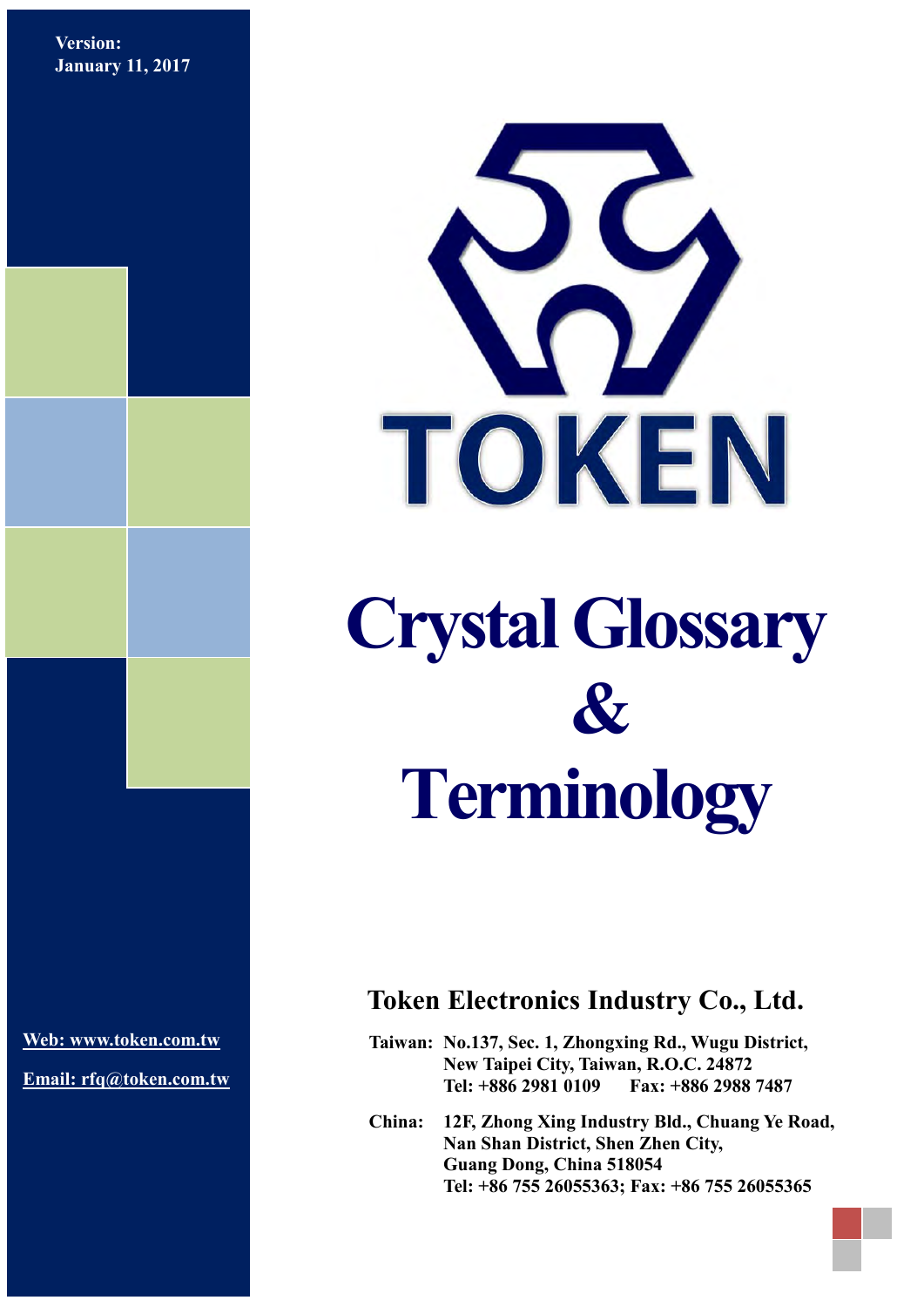**Version: January 11, 2017**



**[Web: www.token.com.tw](http://www.token.com.tw/)**

**Email: rfq@token.com.tw**

# **Token Electronics Industry Co., Ltd.**

**Taiwan: No.137, Sec. 1, Zhongxing Rd., Wugu District, New Taipei City, Taiwan, R.O.C. 24872 Tel: +886 2981 0109 Fax: +886 2988 7487**

**China: 12F, Zhong Xing Industry Bld., Chuang Ye Road, Nan Shan District, Shen Zhen City, Guang Dong, China 518054 Tel: +86 755 26055363; Fax: +86 755 26055365**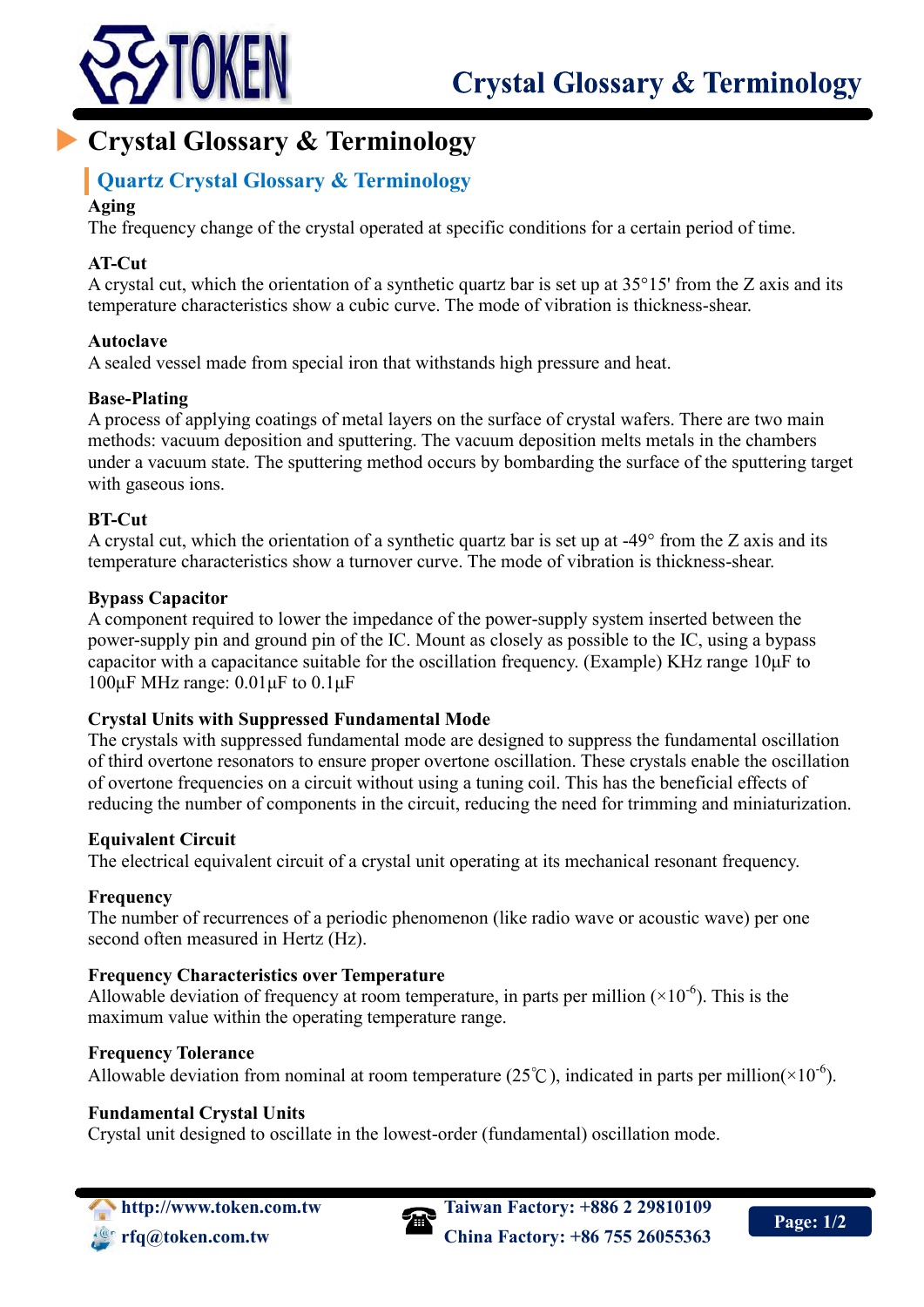

# **Crystal Glossary & Terminology**

# **Quartz Crystal Glossary & Terminology**

# **Aging**

The frequency change of the crystal operated at specific conditions for a certain period of time.

# **AT-Cut**

A crystal cut, which the orientation of a synthetic quartz bar is set up at 35°15' from the Z axis and its temperature characteristics show a cubic curve. The mode of vibration is thickness-shear.

# **Autoclave**

A sealed vessel made from special iron that withstands high pressure and heat.

# **Base-Plating**

A process of applying coatings of metal layers on the surface of crystal wafers. There are two main methods: vacuum deposition and sputtering. The vacuum deposition melts metals in the chambers under a vacuum state. The sputtering method occurs by bombarding the surface of the sputtering target with gaseous ions.

# **BT-Cut**

A crystal cut, which the orientation of a synthetic quartz bar is set up at -49° from the Z axis and its temperature characteristics show a turnover curve. The mode of vibration is thickness-shear.

#### **Bypass Capacitor**

A component required to lower the impedance of the power-supply system inserted between the power-supply pin and ground pin of the IC. Mount as closely as possible to the IC, using a bypass capacitor with a capacitance suitable for the oscillation frequency. (Example) KHz range 10μF to 100μF MHz range:  $0.01$ μF to  $0.1$ μF

# **Crystal Units with Suppressed Fundamental Mode**

The crystals with suppressed fundamental mode are designed to suppress the fundamental oscillation of third overtone resonators to ensure proper overtone oscillation. These crystals enable the oscillation of overtone frequencies on a circuit without using a tuning coil. This has the beneficial effects of reducing the number of components in the circuit, reducing the need for trimming and miniaturization.

# **Equivalent Circuit**

The electrical equivalent circuit of a crystal unit operating at its mechanical resonant frequency.

# **Frequency**

The number of recurrences of a periodic phenomenon (like radio wave or acoustic wave) per one second often measured in Hertz (Hz).

# **Frequency Characteristics over Temperature**

Allowable deviation of frequency at room temperature, in parts per million  $(\times 10^{-6})$ . This is the maximum value within the operating temperature range.

#### **Frequency Tolerance**

Allowable deviation from nominal at room temperature (25°C), indicated in parts per million( $\times 10^{-6}$ ).

# **Fundamental Crystal Units**

Crystal unit designed to oscillate in the lowest-order (fundamental) oscillation mode.